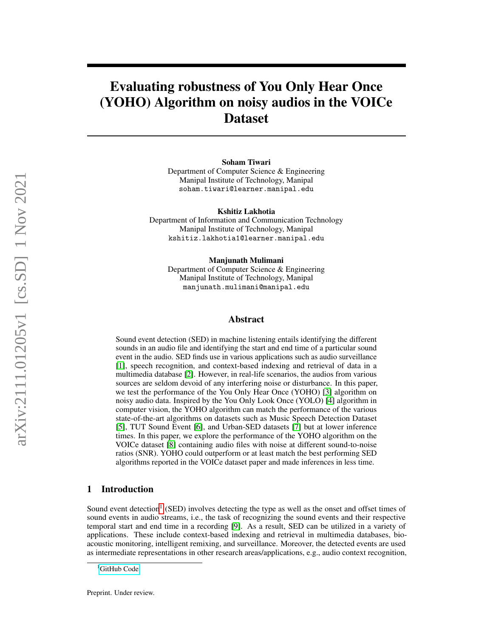# Evaluating robustness of You Only Hear Once (YOHO) Algorithm on noisy audios in the VOICe Dataset

Soham Tiwari

Department of Computer Science & Engineering Manipal Institute of Technology, Manipal soham.tiwari@learner.manipal.edu

Kshitiz Lakhotia

Department of Information and Communication Technology Manipal Institute of Technology, Manipal kshitiz.lakhotia1@learner.manipal.edu

Manjunath Mulimani

Department of Computer Science & Engineering Manipal Institute of Technology, Manipal manjunath.mulimani@manipal.edu

#### Abstract

Sound event detection (SED) in machine listening entails identifying the different sounds in an audio file and identifying the start and end time of a particular sound event in the audio. SED finds use in various applications such as audio surveillance [\[1\]](#page-5-0), speech recognition, and context-based indexing and retrieval of data in a multimedia database [\[2\]](#page-5-1). However, in real-life scenarios, the audios from various sources are seldom devoid of any interfering noise or disturbance. In this paper, we test the performance of the You Only Hear Once (YOHO) [\[3\]](#page-5-2) algorithm on noisy audio data. Inspired by the You Only Look Once (YOLO) [\[4\]](#page-5-3) algorithm in computer vision, the YOHO algorithm can match the performance of the various state-of-the-art algorithms on datasets such as Music Speech Detection Dataset [\[5\]](#page-5-4), TUT Sound Event [\[6\]](#page-5-5), and Urban-SED datasets [\[7\]](#page-5-6) but at lower inference times. In this paper, we explore the performance of the YOHO algorithm on the VOICe dataset [\[8\]](#page-6-0) containing audio files with noise at different sound-to-noise ratios (SNR). YOHO could outperform or at least match the best performing SED algorithms reported in the VOICe dataset paper and made inferences in less time.

## 1 Introduction

Sound event detection<sup>[1](#page-0-0)</sup> (SED) involves detecting the type as well as the onset and offset times of sound events in audio streams, i.e., the task of recognizing the sound events and their respective temporal start and end time in a recording [\[9\]](#page-6-1). As a result, SED can be utilized in a variety of applications. These include context-based indexing and retrieval in multimedia databases, bioacoustic monitoring, intelligent remixing, and surveillance. Moreover, the detected events are used as intermediate representations in other research areas/applications, e.g., audio context recognition,

<span id="page-0-0"></span><sup>&</sup>lt;sup>1</sup>[GitHub Code](https://github.com/sohamtiwari3120/YOHO-on-VOICe)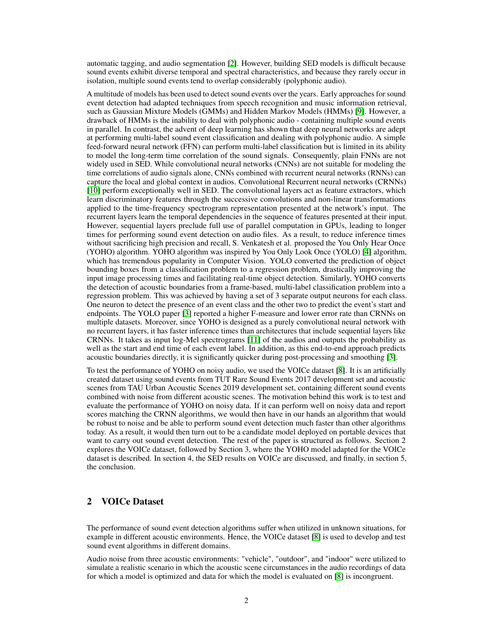automatic tagging, and audio segmentation [\[2\]](#page-5-1). However, building SED models is difficult because sound events exhibit diverse temporal and spectral characteristics, and because they rarely occur in isolation, multiple sound events tend to overlap considerably (polyphonic audio).

A multitude of models has been used to detect sound events over the years. Early approaches for sound event detection had adapted techniques from speech recognition and music information retrieval, such as Gaussian Mixture Models (GMMs) and Hidden Markov Models (HMMs) [\[9\]](#page-6-1). However, a drawback of HMMs is the inability to deal with polyphonic audio - containing multiple sound events in parallel. In contrast, the advent of deep learning has shown that deep neural networks are adept at performing multi-label sound event classification and dealing with polyphonic audio. A simple feed-forward neural network (FFN) can perform multi-label classification but is limited in its ability to model the long-term time correlation of the sound signals. Consequently, plain FNNs are not widely used in SED. While convolutional neural networks (CNNs) are not suitable for modeling the time correlations of audio signals alone, CNNs combined with recurrent neural networks (RNNs) can capture the local and global context in audios. Convolutional Recurrent neural networks (CRNNs) [\[10\]](#page-6-2) perform exceptionally well in SED. The convolutional layers act as feature extractors, which learn discriminatory features through the successive convolutions and non-linear transformations applied to the time-frequency spectrogram representation presented at the network's input. The recurrent layers learn the temporal dependencies in the sequence of features presented at their input. However, sequential layers preclude full use of parallel computation in GPUs, leading to longer times for performing sound event detection on audio files. As a result, to reduce inference times without sacrificing high precision and recall, S. Venkatesh et al. proposed the You Only Hear Once (YOHO) algorithm. YOHO algorithm was inspired by You Only Look Once (YOLO) [\[4\]](#page-5-3) algorithm, which has tremendous popularity in Computer Vision. YOLO converted the prediction of object bounding boxes from a classification problem to a regression problem, drastically improving the input image processing times and facilitating real-time object detection. Similarly, YOHO converts the detection of acoustic boundaries from a frame-based, multi-label classification problem into a regression problem. This was achieved by having a set of 3 separate output neurons for each class. One neuron to detect the presence of an event class and the other two to predict the event's start and endpoints. The YOLO paper [\[3\]](#page-5-2) reported a higher F-measure and lower error rate than CRNNs on multiple datasets. Moreover, since YOHO is designed as a purely convolutional neural network with no recurrent layers, it has faster inference times than architectures that include sequential layers like CRNNs. It takes as input log-Mel spectrograms [\[11\]](#page-6-3) of the audios and outputs the probability as well as the start and end time of each event label. In addition, as this end-to-end approach predicts acoustic boundaries directly, it is significantly quicker during post-processing and smoothing [\[3\]](#page-5-2).

To test the performance of YOHO on noisy audio, we used the VOICe dataset [\[8\]](#page-6-0). It is an artificially created dataset using sound events from TUT Rare Sound Events 2017 development set and acoustic scenes from TAU Urban Acoustic Scenes 2019 development set, containing different sound events combined with noise from different acoustic scenes. The motivation behind this work is to test and evaluate the performance of YOHO on noisy data. If it can perform well on noisy data and report scores matching the CRNN algorithms, we would then have in our hands an algorithm that would be robust to noise and be able to perform sound event detection much faster than other algorithms today. As a result, it would then turn out to be a candidate model deployed on portable devices that want to carry out sound event detection. The rest of the paper is structured as follows. Section 2 explores the VOICe dataset, followed by Section 3, where the YOHO model adapted for the VOICe dataset is described. In section 4, the SED results on VOICe are discussed, and finally, in section 5, the conclusion.

# 2 VOICe Dataset

The performance of sound event detection algorithms suffer when utilized in unknown situations, for example in different acoustic environments. Hence, the VOICe dataset [\[8\]](#page-6-0) is used to develop and test sound event algorithms in different domains.

Audio noise from three acoustic environments: "vehicle", "outdoor", and "indoor" were utilized to simulate a realistic scenario in which the acoustic scene circumstances in the audio recordings of data for which a model is optimized and data for which the model is evaluated on [\[8\]](#page-6-0) is incongruent.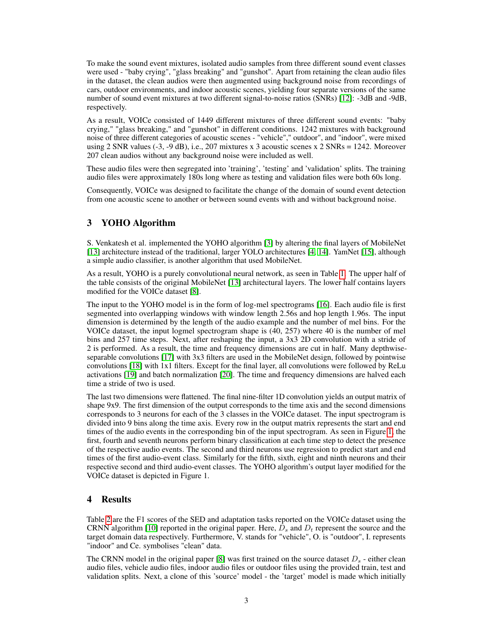To make the sound event mixtures, isolated audio samples from three different sound event classes were used - "baby crying", "glass breaking" and "gunshot". Apart from retaining the clean audio files in the dataset, the clean audios were then augmented using background noise from recordings of cars, outdoor environments, and indoor acoustic scenes, yielding four separate versions of the same number of sound event mixtures at two different signal-to-noise ratios (SNRs) [\[12\]](#page-6-4): -3dB and -9dB, respectively.

As a result, VOICe consisted of 1449 different mixtures of three different sound events: "baby crying," "glass breaking," and "gunshot" in different conditions. 1242 mixtures with background noise of three different categories of acoustic scenes - "vehicle"," outdoor", and "indoor", were mixed using 2 SNR values (-3, -9 dB), i.e., 207 mixtures x 3 acoustic scenes x 2 SNRs = 1242. Moreover 207 clean audios without any background noise were included as well.

These audio files were then segregated into 'training', 'testing' and 'validation' splits. The training audio files were approximately 180s long where as testing and validation files were both 60s long.

Consequently, VOICe was designed to facilitate the change of the domain of sound event detection from one acoustic scene to another or between sound events with and without background noise.

# 3 YOHO Algorithm

S. Venkatesh et al. implemented the YOHO algorithm [\[3\]](#page-5-2) by altering the final layers of MobileNet [\[13\]](#page-6-5) architecture instead of the traditional, larger YOLO architectures [\[4,](#page-5-3) [14\]](#page-6-6). YamNet [\[15\]](#page-6-7), although a simple audio classifier, is another algorithm that used MobileNet.

As a result, YOHO is a purely convolutional neural network, as seen in Table [1.](#page-3-0) The upper half of the table consists of the original MobileNet [\[13\]](#page-6-5) architectural layers. The lower half contains layers modified for the VOICe dataset [\[8\]](#page-6-0).

The input to the YOHO model is in the form of log-mel spectrograms [\[16\]](#page-6-8). Each audio file is first segmented into overlapping windows with window length 2.56s and hop length 1.96s. The input dimension is determined by the length of the audio example and the number of mel bins. For the VOICe dataset, the input logmel spectrogram shape is (40, 257) where 40 is the number of mel bins and 257 time steps. Next, after reshaping the input, a 3x3 2D convolution with a stride of 2 is performed. As a result, the time and frequency dimensions are cut in half. Many depthwiseseparable convolutions [\[17\]](#page-6-9) with 3x3 filters are used in the MobileNet design, followed by pointwise convolutions [\[18\]](#page-6-10) with 1x1 filters. Except for the final layer, all convolutions were followed by ReLu activations [\[19\]](#page-6-11) and batch normalization [\[20\]](#page-6-12). The time and frequency dimensions are halved each time a stride of two is used.

The last two dimensions were flattened. The final nine-filter 1D convolution yields an output matrix of shape 9x9. The first dimension of the output corresponds to the time axis and the second dimensions corresponds to 3 neurons for each of the 3 classes in the VOICe dataset. The input spectrogram is divided into 9 bins along the time axis. Every row in the output matrix represents the start and end times of the audio events in the corresponding bin of the input spectrogram. As seen in Figure [1,](#page-4-0) the first, fourth and seventh neurons perform binary classification at each time step to detect the presence of the respective audio events. The second and third neurons use regression to predict start and end times of the first audio-event class. Similarly for the fifth, sixth, eight and ninth neurons and their respective second and third audio-event classes. The YOHO algorithm's output layer modified for the VOICe dataset is depicted in Figure 1.

## 4 Results

Table [2](#page-4-1) are the F1 scores of the SED and adaptation tasks reported on the VOICe dataset using the CRNN algorithm [\[10\]](#page-6-2) reported in the original paper. Here,  $D_s$  and  $D_t$  represent the source and the target domain data respectively. Furthermore, V. stands for "vehicle", O. is "outdoor", I. represents "indoor" and Ce. symbolises "clean" data.

The CRNN model in the original paper [\[8\]](#page-6-0) was first trained on the source dataset  $D_s$  - either clean audio files, vehicle audio files, indoor audio files or outdoor files using the provided train, test and validation splits. Next, a clone of this 'source' model - the 'target' model is made which initially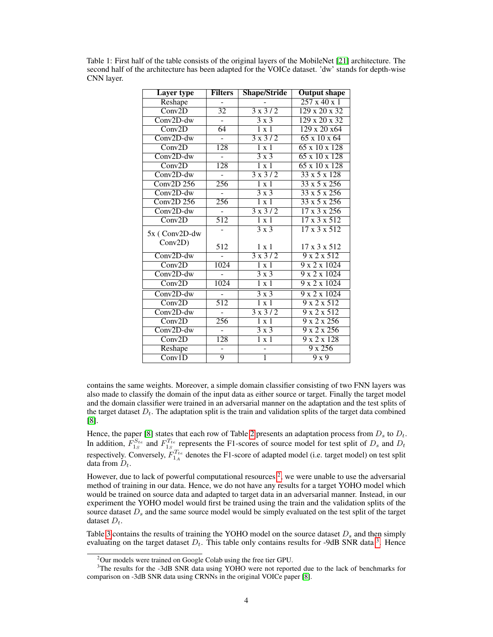<span id="page-3-0"></span>

| Table 1: First half of the table consists of the original layers of the MobileNet [21] architecture. The |
|----------------------------------------------------------------------------------------------------------|
| second half of the architecture has been adapted for the VOICe dataset. 'dw' stands for depth-wise       |
| CNN layer.                                                                                               |

| <b>Layer type</b>          | <b>Filters</b>   | <b>Shape/Stride</b>     | <b>Output shape</b>                  |
|----------------------------|------------------|-------------------------|--------------------------------------|
| Reshape                    |                  |                         | $\frac{257 \times 40 \times 1}{257}$ |
| Conv2D                     | 32               | 3x3/2                   | 129 x 20 x 32                        |
| $Conv2D-dw$                | ÷.               | $3 \times 3$            | 129 x 20 x 32                        |
| Conv2D                     | 64               | $1 \times 1$            | 129 x 20 x 64                        |
| $Conv2D-dw$                |                  | 3x3/2                   | 65x10x64                             |
| Conv <sub>2</sub> D        | 128              | $1 \times 1$            | 65 x 10 x 128                        |
| $Conv2D-dw$                |                  | $\overline{3x3}$        | $65 \times 10 \times 128$            |
| Conv2D                     | 128              | $\overline{1 \times 1}$ | 65 x 10 x 128                        |
| $Conv2D-dw$                |                  | 3x3/2                   | $33 \times 5 \times 128$             |
| Conv2D256                  | 256              | $1 \times 1$            | $33 \times 5 \times 256$             |
| $Conv2D-dw$                |                  | 3x3                     | 33 x 5 x 256                         |
| Conv $2D$ $256$            | 256              | $1 \times 1$            | $33 \times 5 \times 256$             |
| $Conv2D-dw$                |                  | 3x3/2                   | 17x3x256                             |
| Conv2D                     | $\overline{512}$ | $1 \times 1$            | 17x3x512                             |
| 5x (Conv2D-dw              |                  | $\overline{3x3}$        | 17x3x512                             |
| Conv2D)                    | 512              | $1 \times 1$            | 17 x 3 x 512                         |
| $Conv2D-dw$                |                  | 3x3/2                   | 9x2x512                              |
| Conv2D                     | 1024             | $1 \times 1$            | 9 x 2 x 1024                         |
| $Conv2D-dw$                |                  | $3 \times 3$            | 9 x 2 x 1024                         |
| Conv2D                     | 1024             | $\overline{1x1}$        | 9x2x1024                             |
| $Conv2D-dw$                |                  | $\overline{3x3}$        | 9x2x1024                             |
| $\overline{\text{Conv2D}}$ | 512              | 1 x 1                   | 9x2x512                              |
| $Conv2D-dw$                |                  | $3 \times 3/2$          | 9x2x512                              |
| Conv2D                     | 256              | $1 \times 1$            | 9x2x256                              |
| $Conv2D-dw$                |                  | 3x3                     | 9x2x256                              |
| Conv2D                     | 128              | $\overline{1x1}$        | 9x2x128                              |
| Reshape                    | ÷,               |                         | 9x256                                |
| Conv1D                     | $\overline{9}$   | 1                       | 9x9                                  |

contains the same weights. Moreover, a simple domain classifier consisting of two FNN layers was also made to classify the domain of the input data as either source or target. Finally the target model and the domain classifier were trained in an adversarial manner on the adaptation and the test splits of the target dataset  $D_t$ . The adaptation split is the train and validation splits of the target data combined [\[8\]](#page-6-0).

Hence, the paper [\[8\]](#page-6-0) states that each row of Table [2](#page-4-1) presents an adaptation process from  $D_s$  to  $D_t$ . In addition,  $F_{1s}^{S_{te}}$  and  $F_{1s}^{T_{te}}$  represents the F1-scores of source model for test split of  $D_s$  and  $D_t$ respectively. Conversely,  $F_{1_A}^{T_{te}}$  denotes the F1-score of adapted model (i.e. target model) on test split data from  $D_t$ .

However, due to lack of powerful computational resources  $2$ , we were unable to use the adversarial method of training in our data. Hence, we do not have any results for a target YOHO model which would be trained on source data and adapted to target data in an adversarial manner. Instead, in our experiment the YOHO model would first be trained using the train and the validation splits of the source dataset  $D_s$  and the same source model would be simply evaluated on the test split of the target dataset  $D_t$ .

Table [3](#page-5-7) contains the results of training the YOHO model on the source dataset  $D_s$  and then simply evaluating on the target dataset  $D_t$ . This table only contains results for -9dB SNR data<sup>[3](#page-3-2)</sup>. Hence

<span id="page-3-2"></span><span id="page-3-1"></span><sup>2</sup>Our models were trained on Google Colab using the free tier GPU.

<sup>&</sup>lt;sup>3</sup>The results for the -3dB SNR data using YOHO were not reported due to the lack of benchmarks for comparison on -3dB SNR data using CRNNs in the original VOICe paper [\[8\]](#page-6-0).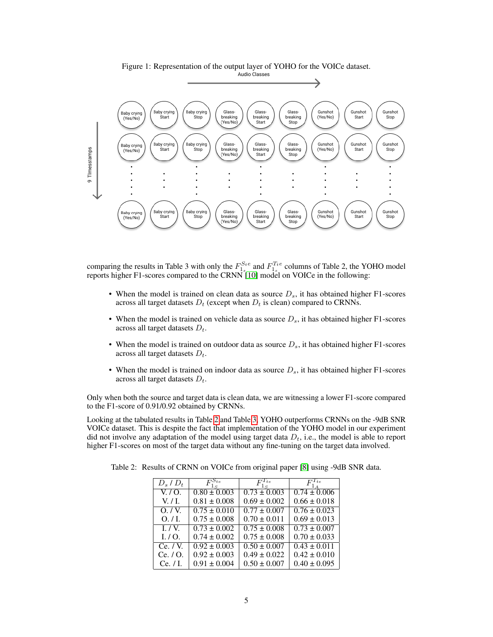

<span id="page-4-0"></span>Figure 1: Representation of the output layer of YOHO for the VOICe dataset.

comparing the results in Table 3 with only the  $F_{1_s}^{S_t e}$  and  $F_{1_s}^{T_t e}$  columns of Table 2, the YOHO model reports higher F1-scores compared to the CRNN [\[10\]](#page-6-2) model on VOICe in the following:

- When the model is trained on clean data as source  $D_s$ , it has obtained higher F1-scores across all target datasets  $D_t$  (except when  $D_t$  is clean) compared to CRNNs.
- When the model is trained on vehicle data as source  $D_s$ , it has obtained higher F1-scores across all target datasets  $D_t$ .
- When the model is trained on outdoor data as source  $D_s$ , it has obtained higher F1-scores across all target datasets  $D_t$ .
- When the model is trained on indoor data as source  $D_s$ , it has obtained higher F1-scores across all target datasets  $D_t$ .

Only when both the source and target data is clean data, we are witnessing a lower F1-score compared to the F1-score of 0.91/0.92 obtained by CRNNs.

Looking at the tabulated results in Table [2](#page-4-1) and Table [3,](#page-5-7) YOHO outperforms CRNNs on the -9dB SNR VOICe dataset. This is despite the fact that implementation of the YOHO model in our experiment did not involve any adaptation of the model using target data  $D_t$ , i.e., the model is able to report higher F1-scores on most of the target data without any fine-tuning on the target data involved.

<span id="page-4-1"></span>

| $D_s$ / $D_t$         | $F^{S_{te}}$     | $F^{T_{te}}$                | $F^{T}$ te                  |
|-----------------------|------------------|-----------------------------|-----------------------------|
| V.70.                 | $0.80 \pm 0.003$ | $\overline{0.73 \pm 0.003}$ | $0.74 \pm 0.006$            |
| $V_{\cdot}/I_{\cdot}$ | $0.81 \pm 0.008$ | $0.69 \pm 0.002$            | $0.66 \pm 0.018$            |
| $0.7V$ .              | $0.75 \pm 0.010$ | $0.77 \pm 0.007$            | $\overline{0.76 \pm 0.023}$ |
| $0.1$ .               | $0.75 \pm 0.008$ | $0.70 \pm 0.011$            | $0.69 \pm 0.013$            |
| I/V                   | $0.73 \pm 0.002$ | $0.75 \pm 0.008$            | $\overline{0.73 \pm 0.007}$ |
| I.70.                 | $0.74 \pm 0.002$ | $0.75 \pm 0.008$            | $0.70 \pm 0.033$            |
| Ce. / V.              | $0.92 \pm 0.003$ | $0.50 \pm 0.007$            | $\overline{0.43 \pm 0.011}$ |
| Ce. / O.              | $0.92 \pm 0.003$ | $0.49 \pm 0.022$            | $0.42 \pm 0.010$            |
| Ce. / I.              | $0.91 \pm 0.004$ | $0.50 \pm 0.007$            | $0.40 \pm 0.095$            |

Table 2: Results of CRNN on VOICe from original paper [\[8\]](#page-6-0) using -9dB SNR data.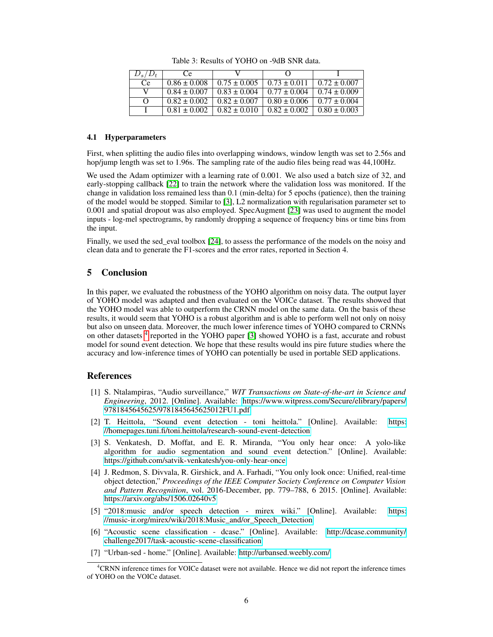| $D_s/D_t$ | Ce.              |                  | $\left( \right)$ |                  |
|-----------|------------------|------------------|------------------|------------------|
| Ce.       | $0.86 \pm 0.008$ | $0.75 \pm 0.005$ | $0.73 \pm 0.011$ | $0.72 \pm 0.007$ |
| M         | $0.84 \pm 0.007$ | $0.83 \pm 0.004$ | $0.77 \pm 0.004$ | $0.74 \pm 0.009$ |
| $\Omega$  | $0.82 \pm 0.002$ | $0.82 \pm 0.007$ | $0.80 \pm 0.006$ | $0.77 \pm 0.004$ |
|           | $0.81 \pm 0.002$ | $0.82 \pm 0.010$ | $0.82 \pm 0.002$ | $0.80 \pm 0.003$ |

<span id="page-5-7"></span>Table 3: Results of YOHO on -9dB SNR data.

#### 4.1 Hyperparameters

First, when splitting the audio files into overlapping windows, window length was set to 2.56s and hop/jump length was set to 1.96s. The sampling rate of the audio files being read was 44,100Hz.

We used the Adam optimizer with a learning rate of 0.001. We also used a batch size of 32, and early-stopping callback [\[22\]](#page-6-14) to train the network where the validation loss was monitored. If the change in validation loss remained less than 0.1 (min-delta) for 5 epochs (patience), then the training of the model would be stopped. Similar to [\[3\]](#page-5-2), L2 normalization with regularisation parameter set to 0.001 and spatial dropout was also employed. SpecAugment [\[23\]](#page-6-15) was used to augment the model inputs - log-mel spectrograms, by randomly dropping a sequence of frequency bins or time bins from the input.

Finally, we used the sed\_eval toolbox [\[24\]](#page-6-16), to assess the performance of the models on the noisy and clean data and to generate the F1-scores and the error rates, reported in Section 4.

#### 5 Conclusion

In this paper, we evaluated the robustness of the YOHO algorithm on noisy data. The output layer of YOHO model was adapted and then evaluated on the VOICe dataset. The results showed that the YOHO model was able to outperform the CRNN model on the same data. On the basis of these results, it would seem that YOHO is a robust algorithm and is able to perform well not only on noisy but also on unseen data. Moreover, the much lower inference times of YOHO compared to CRNNs on other datasets <sup>[4](#page-5-8)</sup> reported in the YOHO paper [\[3\]](#page-5-2) showed YOHO is a fast, accurate and robust model for sound event detection. We hope that these results would ins pire future studies where the accuracy and low-inference times of YOHO can potentially be used in portable SED applications.

#### References

- <span id="page-5-0"></span>[1] S. Ntalampiras, "Audio surveillance," *WIT Transactions on State-of-the-art in Science and Engineering*, 2012. [Online]. Available: [https://www.witpress.com/Secure/elibrary/papers/](https://www.witpress.com/Secure/elibrary/papers/9781845645625/9781845645625012FU1.pdf) [9781845645625/9781845645625012FU1.pdf](https://www.witpress.com/Secure/elibrary/papers/9781845645625/9781845645625012FU1.pdf)
- <span id="page-5-1"></span>[2] T. Heittola, "Sound event detection - toni heittola." [Online]. Available: [https:](https://homepages.tuni.fi/toni.heittola/research-sound-event-detection) [//homepages.tuni.fi/toni.heittola/research-sound-event-detection](https://homepages.tuni.fi/toni.heittola/research-sound-event-detection)
- <span id="page-5-2"></span>[3] S. Venkatesh, D. Moffat, and E. R. Miranda, "You only hear once: A yolo-like algorithm for audio segmentation and sound event detection." [Online]. Available: <https://github.com/satvik-venkatesh/you-only-hear-once>
- <span id="page-5-3"></span>[4] J. Redmon, S. Divvala, R. Girshick, and A. Farhadi, "You only look once: Unified, real-time object detection," *Proceedings of the IEEE Computer Society Conference on Computer Vision and Pattern Recognition*, vol. 2016-December, pp. 779–788, 6 2015. [Online]. Available: <https://arxiv.org/abs/1506.02640v5>
- <span id="page-5-4"></span>[5] "2018:music and/or speech detection - mirex wiki." [Online]. Available: [https:](https://music-ir.org/mirex/wiki/2018:Music_and/or_Speech_Detection) [//music-ir.org/mirex/wiki/2018:Music\\_and/or\\_Speech\\_Detection](https://music-ir.org/mirex/wiki/2018:Music_and/or_Speech_Detection)
- <span id="page-5-5"></span>[6] "Acoustic scene classification - dcase." [Online]. Available: [http://dcase.community/](http://dcase.community/challenge2017/task-acoustic-scene-classification) [challenge2017/task-acoustic-scene-classification](http://dcase.community/challenge2017/task-acoustic-scene-classification)
- <span id="page-5-6"></span>[7] "Urban-sed - home." [Online]. Available:<http://urbansed.weebly.com/>

<span id="page-5-8"></span><sup>4</sup>CRNN inference times for VOICe dataset were not available. Hence we did not report the inference times of YOHO on the VOICe dataset.